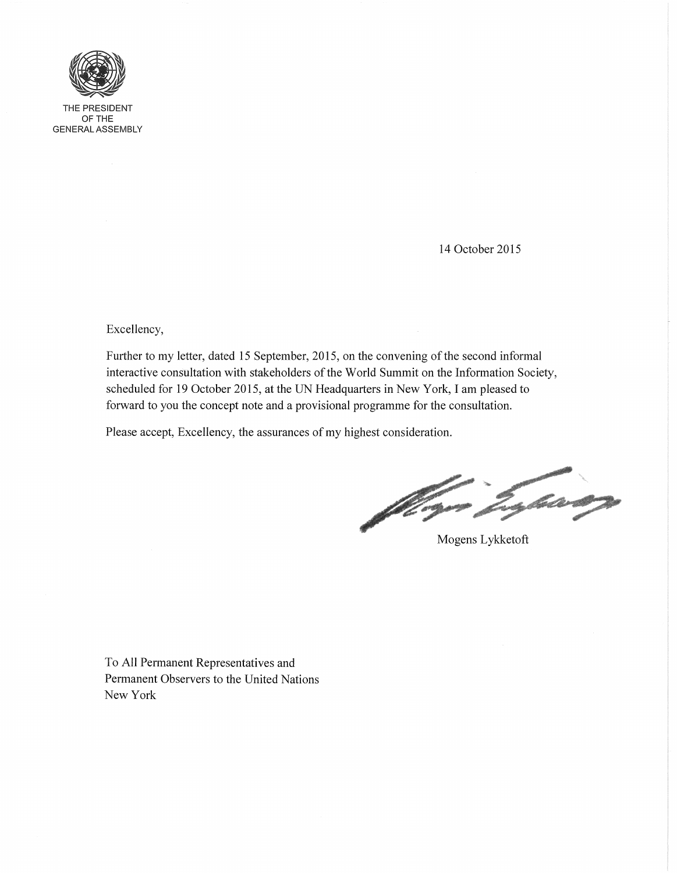

THE PRESIDENT OFTHE GENERAL ASSEMBLY

14 October 2015

Excellency,

Further to my letter, dated 15 September, 2015, on the convening of the second informal interactive consultation with stakeholders of the World Summit on the Information Society, scheduled for 19 October 2015, at the UN Headquarters in New York, I am pleased to forward to you the concept note and a provisional programme for the consultation.

Please accept, Excellency, the assurances of my highest consideration.

English of a part of a spin of

Mogens Lykketoft

To All Permanent Representatives and Permanent Observers to the United Nations New York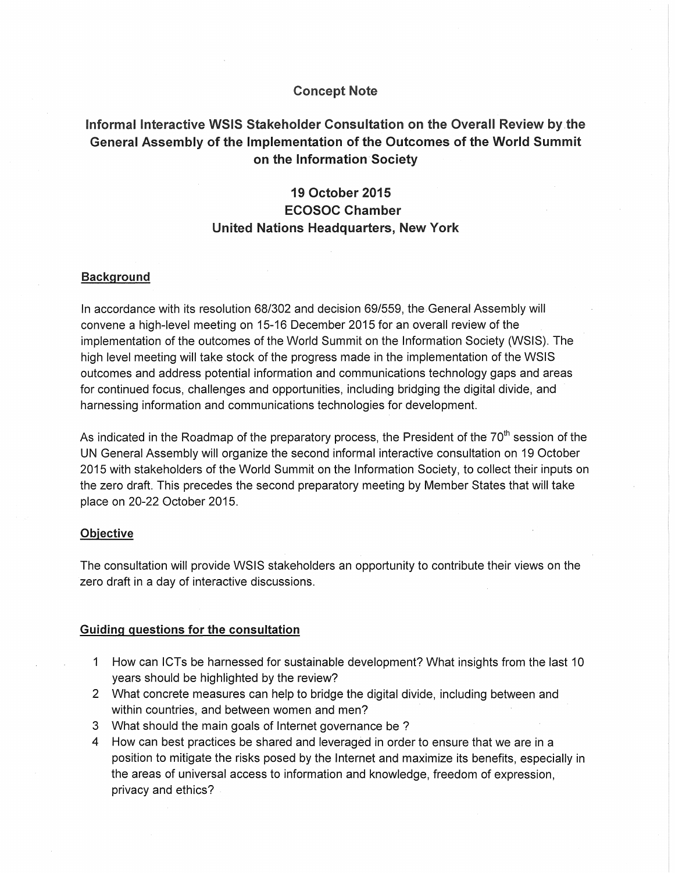### **Concept Note**

## Informal Interactive **WSIS Stakeholder Consultation on the Overall Review by.the General Assembly of the Implementation of the Outcomes of the World Summit on the Information· Society**

## **19 October 2015 ECOSOC Chamber United Nations Headquarters, New York**

#### **Background**

In accordance with its resolution 68/302 and decision 69/559, the General Assembly will convene a high-level meeting on 15-16 December 2015 for an overall review of the implementation of the outcomes of the World Summit on the Information Society (WSIS). The high level meeting will take stock of the progress made in the implementation of the WSIS outcomes and address potential information and communications technology gaps and areas for continued focus, challenges and opportunities, including bridging the digital divide, and harnessing information and communications technologies for development.

As indicated in the Roadmap of the preparatory process, the President of the  $70<sup>th</sup>$  session of the UN General Assembly will organize the second informal interactive consultation on 19 October 2015 with stakeholders of the World Summit on the Information Society, to collect their inputs on the zero draft. This precedes the second preparatory meeting by Member States that will take place on 20-22 October 2015.

#### **Objective**

The consultation will provide WSIS stakeholders an opportunity to contribute their views on the zero draft in a day of interactive discussions.

#### **Guiding questions for the consultation**

- 1 How can ICTs be harnessed for sustainable development? What insights from the last 10 years should be highlighted by the review?
- 2 What concrete measures can help to bridge the digital divide, including between and within countries, and between women and men?
- 3 What should the main goals of Internet governance be ?
- 4 How can best practices be shared and leveraged in order to ensure that we are in a position to mitigate the risks posed by the Internet and maximize its benefits, especially in the areas of universal access to information and knowledge, freedom of expression, privacy and ethics?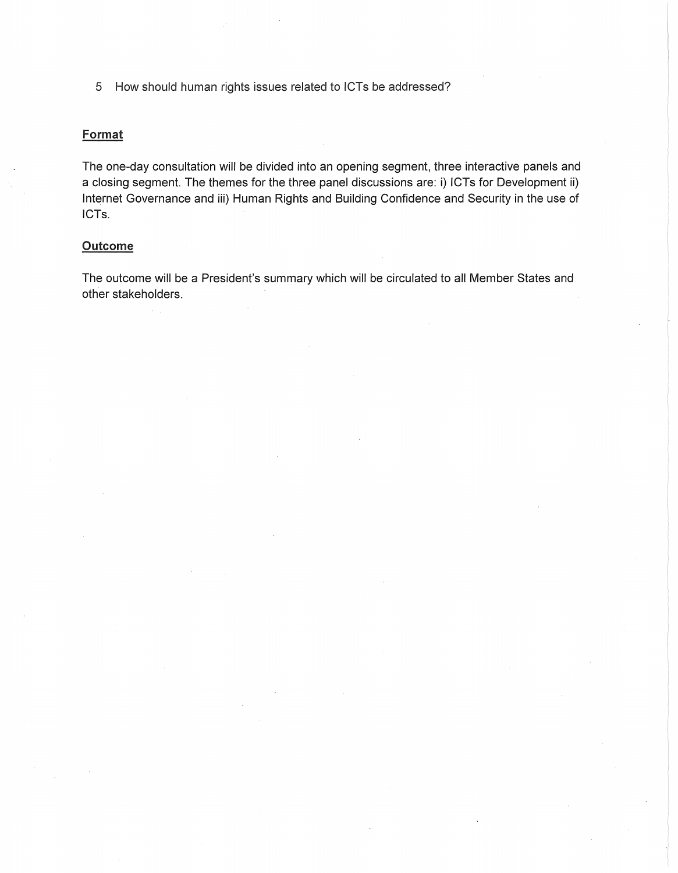5 How should human rights issues related to ICTs be addressed?

### Format

The one-day consultation will be divided into an opening segment, three interactive panels and a closing segment. The themes for the three panel discussions are: i) ICTs for Development ii) Internet Governance and iii) Human Rights and Building Confidence and Security in the use of ICTs.

### Outcome

The outcome will be a President's summary which will be circulated to all Member States and other stakeholders.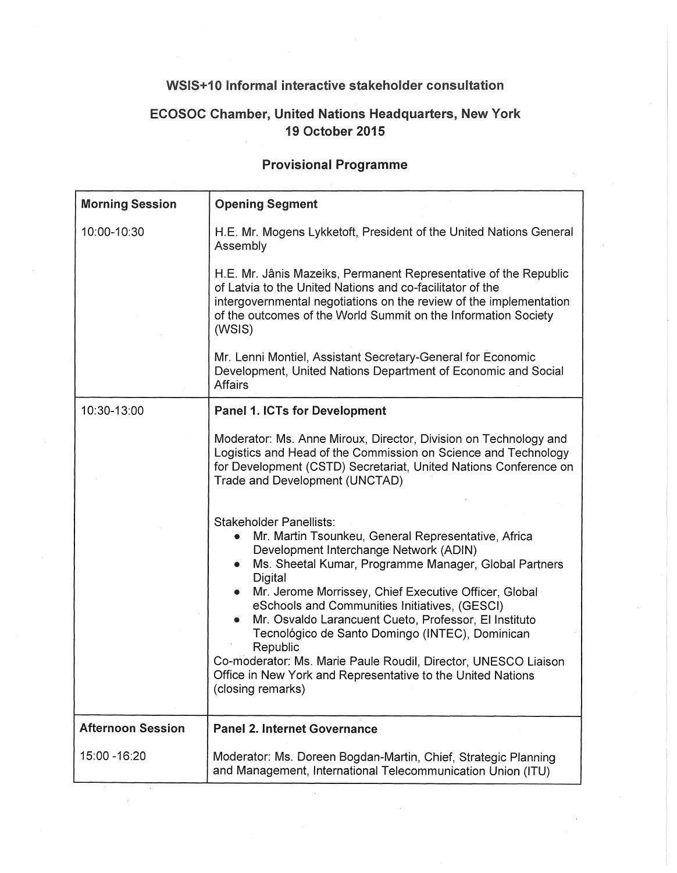# **WSIS+10 Informal interactive stakeholder consultation**

# **ECOSOC Chamber, United Nations Headquarters, New York 19 October 2015**

## **Provisional Programme**

| <b>Morning Session</b>   | <b>Opening Segment</b>                                                                                                                                                                                                                                                                                                                                                                                                                                                                                                                                                               |
|--------------------------|--------------------------------------------------------------------------------------------------------------------------------------------------------------------------------------------------------------------------------------------------------------------------------------------------------------------------------------------------------------------------------------------------------------------------------------------------------------------------------------------------------------------------------------------------------------------------------------|
| 10:00-10:30              | H.E. Mr. Mogens Lykketoft, President of the United Nations General<br>Assembly                                                                                                                                                                                                                                                                                                                                                                                                                                                                                                       |
|                          | H.E. Mr. Jânis Mazeiks, Permanent Representative of the Republic<br>of Latvia to the United Nations and co-facilitator of the<br>intergovernmental negotiations on the review of the implementation<br>of the outcomes of the World Summit on the Information Society<br>(WSIS)                                                                                                                                                                                                                                                                                                      |
|                          | Mr. Lenni Montiel, Assistant Secretary-General for Economic<br>Development, United Nations Department of Economic and Social<br>Affairs                                                                                                                                                                                                                                                                                                                                                                                                                                              |
| 10:30-13:00              | <b>Panel 1. ICTs for Development</b>                                                                                                                                                                                                                                                                                                                                                                                                                                                                                                                                                 |
|                          | Moderator: Ms. Anne Miroux, Director, Division on Technology and<br>Logistics and Head of the Commission on Science and Technology<br>for Development (CSTD) Secretariat, United Nations Conference on<br>Trade and Development (UNCTAD)                                                                                                                                                                                                                                                                                                                                             |
|                          | Stakeholder Panellists:<br>Mr. Martin Tsounkeu, General Representative, Africa<br>Development Interchange Network (ADIN)<br>Ms. Sheetal Kumar, Programme Manager, Global Partners<br>Digital<br>Mr. Jerome Morrissey, Chief Executive Officer, Global<br>eSchools and Communities Initiatives, (GESCI)<br>Mr. Osvaldo Larancuent Cueto, Professor, El Instituto<br>Tecnológico de Santo Domingo (INTEC), Dominican<br>Republic<br>Co-moderator: Ms. Marie Paule Roudil, Director, UNESCO Liaison<br>Office in New York and Representative to the United Nations<br>(closing remarks) |
| <b>Afternoon Session</b> | <b>Panel 2. Internet Governance</b>                                                                                                                                                                                                                                                                                                                                                                                                                                                                                                                                                  |
| 15:00 - 16:20            | Moderator: Ms. Doreen Bogdan-Martin, Chief, Strategic Planning<br>and Management, International Telecommunication Union (ITU)                                                                                                                                                                                                                                                                                                                                                                                                                                                        |